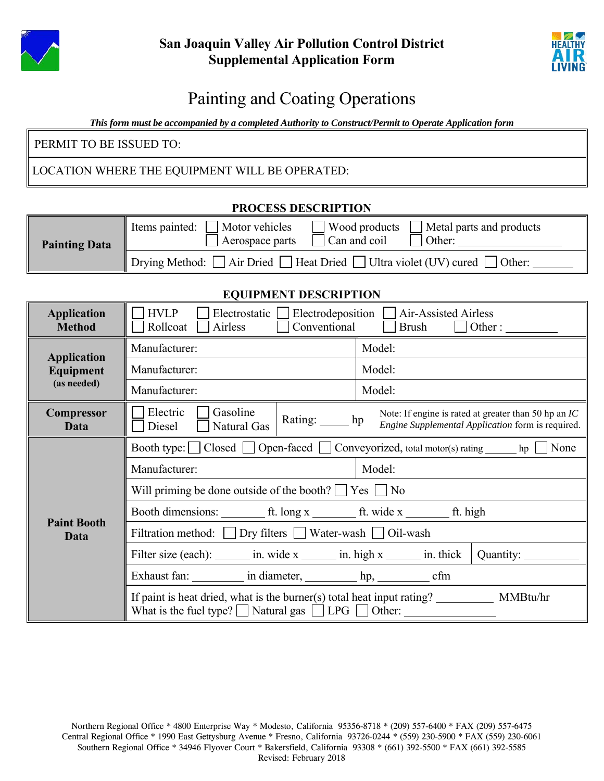



## Painting and Coating Operations

*This form must be accompanied by a completed Authority to Construct/Permit to Operate Application form* 

PERMIT TO BE ISSUED TO:

LOCATION WHERE THE EQUIPMENT WILL BE OPERATED:

| PROCESS DESCRIPTION  |                                                                                                                                          |  |  |  |
|----------------------|------------------------------------------------------------------------------------------------------------------------------------------|--|--|--|
| <b>Painting Data</b> | $\Box$ Wood products<br>Metal parts and products<br>Motor vehicles<br>Items painted:<br>$\Box$ Can and coil<br>Aerospace parts<br>Other: |  |  |  |
|                      | $\Box$ Drying Method: $\Box$ Air Dried $\Box$ Heat Dried $\Box$ Ultra violet (UV) cured $\Box$ Other:                                    |  |  |  |

**PROCESS DESCRIPTION** 

## **EQUIPMENT DESCRIPTION**

| <b>Application</b><br><b>Method</b>                   | <b>HVLP</b><br>Electrodeposition $\Box$ Air-Assisted Airless<br>Electrostatic  <br>Conventional<br>Rollcoat<br>Airless<br>$Brush$ $\Box$ Other :                   |            |        |  |                                                                                                             |
|-------------------------------------------------------|--------------------------------------------------------------------------------------------------------------------------------------------------------------------|------------|--------|--|-------------------------------------------------------------------------------------------------------------|
| <b>Application</b><br><b>Equipment</b><br>(as needed) | Manufacturer:                                                                                                                                                      |            | Model: |  |                                                                                                             |
|                                                       | Manufacturer:                                                                                                                                                      |            | Model: |  |                                                                                                             |
|                                                       | Manufacturer:                                                                                                                                                      |            | Model: |  |                                                                                                             |
| <b>Compressor</b><br>Data                             | Electric<br>Gasoline<br>Natural Gas<br>Diesel                                                                                                                      | Rating: hp |        |  | Note: If engine is rated at greater than 50 hp an $IC$<br>Engine Supplemental Application form is required. |
| <b>Paint Booth</b><br>Data                            | Booth type: $\Box$ Closed $\Box$ Open-faced $\Box$ Conveyorized, total motor(s) rating $\Box$ hp<br>None                                                           |            |        |  |                                                                                                             |
|                                                       | Manufacturer:                                                                                                                                                      |            | Model: |  |                                                                                                             |
|                                                       | Will priming be done outside of the booth? $\Box$ Yes $\Box$ No                                                                                                    |            |        |  |                                                                                                             |
|                                                       |                                                                                                                                                                    |            |        |  |                                                                                                             |
|                                                       | Filtration method: $\Box$ Dry filters $\Box$ Water-wash $\Box$ Oil-wash                                                                                            |            |        |  |                                                                                                             |
|                                                       | Filter size (each): $\frac{1}{\sin x}$ in. wide x $\frac{1}{\sin x}$ in. high x $\frac{1}{\sin x}$ in. thick                                                       |            |        |  |                                                                                                             |
|                                                       | Exhaust fan: in diameter, hp, cfm                                                                                                                                  |            |        |  |                                                                                                             |
|                                                       | If paint is heat dried, what is the burner(s) total heat input rating? ____________ MMBtu/hr<br>What is the fuel type? $\Box$ Natural gas $\Box$ LPG $\Box$ Other: |            |        |  |                                                                                                             |